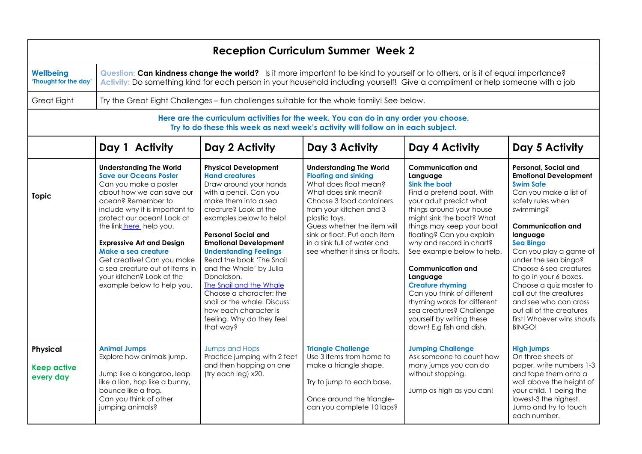| <b>Reception Curriculum Summer Week 2</b>                                                                                                                                 |                                                                                                                                                                                                                                                                                                                                                                                                                              |                                                                                                                                                                                                                                                                                                                                                                                                                                                                                                                         |                                                                                                                                                                                                                                                                                                                         |                                                                                                                                                                                                                                                                                                                                                                                                                                                                                                                 |                                                                                                                                                                                                                                                                                                                                                                                                                                                                 |  |  |
|---------------------------------------------------------------------------------------------------------------------------------------------------------------------------|------------------------------------------------------------------------------------------------------------------------------------------------------------------------------------------------------------------------------------------------------------------------------------------------------------------------------------------------------------------------------------------------------------------------------|-------------------------------------------------------------------------------------------------------------------------------------------------------------------------------------------------------------------------------------------------------------------------------------------------------------------------------------------------------------------------------------------------------------------------------------------------------------------------------------------------------------------------|-------------------------------------------------------------------------------------------------------------------------------------------------------------------------------------------------------------------------------------------------------------------------------------------------------------------------|-----------------------------------------------------------------------------------------------------------------------------------------------------------------------------------------------------------------------------------------------------------------------------------------------------------------------------------------------------------------------------------------------------------------------------------------------------------------------------------------------------------------|-----------------------------------------------------------------------------------------------------------------------------------------------------------------------------------------------------------------------------------------------------------------------------------------------------------------------------------------------------------------------------------------------------------------------------------------------------------------|--|--|
| <b>Wellbeing</b><br>'Thought for the day'                                                                                                                                 | Question: Can kindness change the world? Is it more important to be kind to yourself or to others, or is it of equal importance?<br>Activity: Do something kind for each person in your household including yourself! Give a compliment or help someone with a job                                                                                                                                                           |                                                                                                                                                                                                                                                                                                                                                                                                                                                                                                                         |                                                                                                                                                                                                                                                                                                                         |                                                                                                                                                                                                                                                                                                                                                                                                                                                                                                                 |                                                                                                                                                                                                                                                                                                                                                                                                                                                                 |  |  |
| <b>Great Eight</b>                                                                                                                                                        | Try the Great Eight Challenges - fun challenges suitable for the whole family! See below.                                                                                                                                                                                                                                                                                                                                    |                                                                                                                                                                                                                                                                                                                                                                                                                                                                                                                         |                                                                                                                                                                                                                                                                                                                         |                                                                                                                                                                                                                                                                                                                                                                                                                                                                                                                 |                                                                                                                                                                                                                                                                                                                                                                                                                                                                 |  |  |
| Here are the curriculum activities for the week. You can do in any order you choose.<br>Try to do these this week as next week's activity will follow on in each subject. |                                                                                                                                                                                                                                                                                                                                                                                                                              |                                                                                                                                                                                                                                                                                                                                                                                                                                                                                                                         |                                                                                                                                                                                                                                                                                                                         |                                                                                                                                                                                                                                                                                                                                                                                                                                                                                                                 |                                                                                                                                                                                                                                                                                                                                                                                                                                                                 |  |  |
|                                                                                                                                                                           | Day 1 Activity                                                                                                                                                                                                                                                                                                                                                                                                               | Day 2 Activity                                                                                                                                                                                                                                                                                                                                                                                                                                                                                                          | Day 3 Activity                                                                                                                                                                                                                                                                                                          | Day 4 Activity                                                                                                                                                                                                                                                                                                                                                                                                                                                                                                  | Day 5 Activity                                                                                                                                                                                                                                                                                                                                                                                                                                                  |  |  |
| <b>Topic</b>                                                                                                                                                              | <b>Understanding The World</b><br><b>Save our Oceans Poster</b><br>Can you make a poster<br>about how we can save our<br>ocean? Remember to<br>include why it is important to<br>protect our ocean! Look at<br>the link_here_help you.<br><b>Expressive Art and Design</b><br>Make a sea creature<br>Get creative! Can you make<br>a sea creature out of items in<br>your kitchen? Look at the<br>example below to help you. | <b>Physical Development</b><br><b>Hand creatures</b><br>Draw around your hands<br>with a pencil. Can you<br>make them into a sea<br>creature? Look at the<br>examples below to help!<br><b>Personal Social and</b><br><b>Emotional Development</b><br><b>Understanding Feelings</b><br>Read the book 'The Snail<br>and the Whale' by Julia<br>Donaldson.<br><b>The Snail and the Whale</b><br>Choose a character: the<br>snail or the whale. Discuss<br>how each character is<br>feeling. Why do they feel<br>that way? | <b>Understanding The World</b><br><b>Floating and sinking</b><br>What does float mean?<br>What does sink mean?<br>Choose 3 food containers<br>from your kitchen and 3<br>plastic toys.<br>Guess whether the item will<br>sink or float. Put each item<br>in a sink full of water and<br>see whether it sinks or floats. | <b>Communication and</b><br>Language<br>Sink the boat<br>Find a pretend boat. With<br>your adult predict what<br>things around your house<br>might sink the boat? What<br>things may keep your boat<br>floating? Can you explain<br>why and record in chart?<br>See example below to help.<br><b>Communication and</b><br>Language<br><b>Creature rhyming</b><br>Can you think of different<br>rhyming words for different<br>sea creatures? Challenge<br>yourself by writing these<br>down! E.g fish and dish. | Personal, Social and<br><b>Emotional Development</b><br><b>Swim Safe</b><br>Can you make a list of<br>safety rules when<br>swimming?<br><b>Communication and</b><br>language<br><b>Sea Bingo</b><br>Can you play a game of<br>under the sea bingo?<br>Choose 6 sea creatures<br>to go in your 6 boxes.<br>Choose a quiz master to<br>call out the creatures<br>and see who can cross<br>out all of the creatures<br>first! Whoever wins shouts<br><b>BINGO!</b> |  |  |
| <b>Physical</b><br><b>Keep active</b><br>every day                                                                                                                        | <b>Animal Jumps</b><br>Explore how animals jump.<br>Jump like a kangaroo, leap<br>like a lion, hop like a bunny,<br>bounce like a frog.<br>Can you think of other<br>jumping animals?                                                                                                                                                                                                                                        | <b>Jumps and Hops</b><br>Practice jumping with 2 feet<br>and then hopping on one<br>(try each leg) x20.                                                                                                                                                                                                                                                                                                                                                                                                                 | <b>Triangle Challenge</b><br>Use 3 items from home to<br>make a triangle shape.<br>Try to jump to each base.<br>Once around the triangle-<br>can you complete 10 laps?                                                                                                                                                  | <b>Jumping Challenge</b><br>Ask someone to count how<br>many jumps you can do<br>without stopping.<br>Jump as high as you can!                                                                                                                                                                                                                                                                                                                                                                                  | <b>High jumps</b><br>On three sheets of<br>paper, write numbers 1-3<br>and tape them onto a<br>wall above the height of<br>your child. 1 being the<br>lowest-3 the highest.<br>Jump and try to touch<br>each number.                                                                                                                                                                                                                                            |  |  |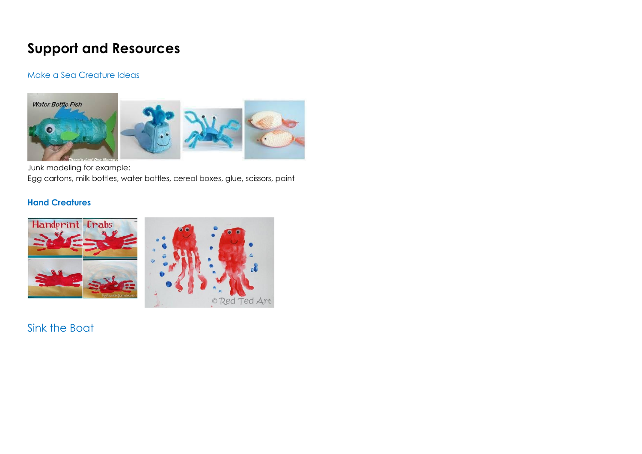## **Support and Resources**

## Make a Sea Creature Ideas



Junk modeling for example:

Egg cartons, milk bottles, water bottles, cereal boxes, glue, scissors, paint

## **Hand Creatures**



Sink the Boat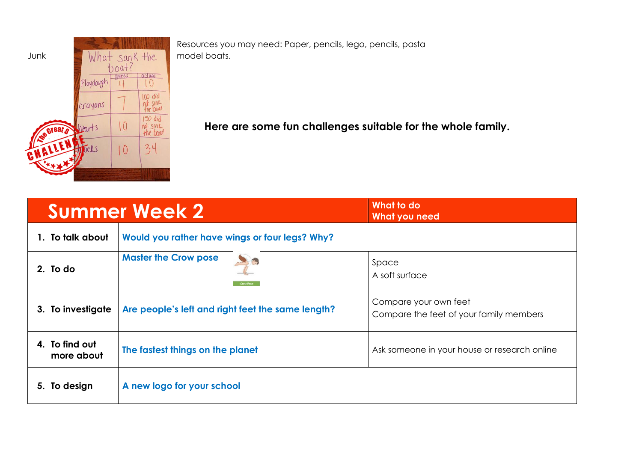

Resources you may need: Paper, pencils, lego, pencils, pasta

**Here are some fun challenges suitable for the whole family.**

|                              | <b>Summer Week 2</b>                              | What to do<br>What you need                                      |  |  |
|------------------------------|---------------------------------------------------|------------------------------------------------------------------|--|--|
| 1. To talk about             | Would you rather have wings or four legs? Why?    |                                                                  |  |  |
| 2. To do                     | <b>Master the Crow pose</b><br>Crow Pose          | Space<br>A soft surface                                          |  |  |
| 3. To investigate            | Are people's left and right feet the same length? | Compare your own feet<br>Compare the feet of your family members |  |  |
| 4. To find out<br>more about | The fastest things on the planet                  | Ask someone in your house or research online                     |  |  |
| 5. To design                 | A new logo for your school                        |                                                                  |  |  |